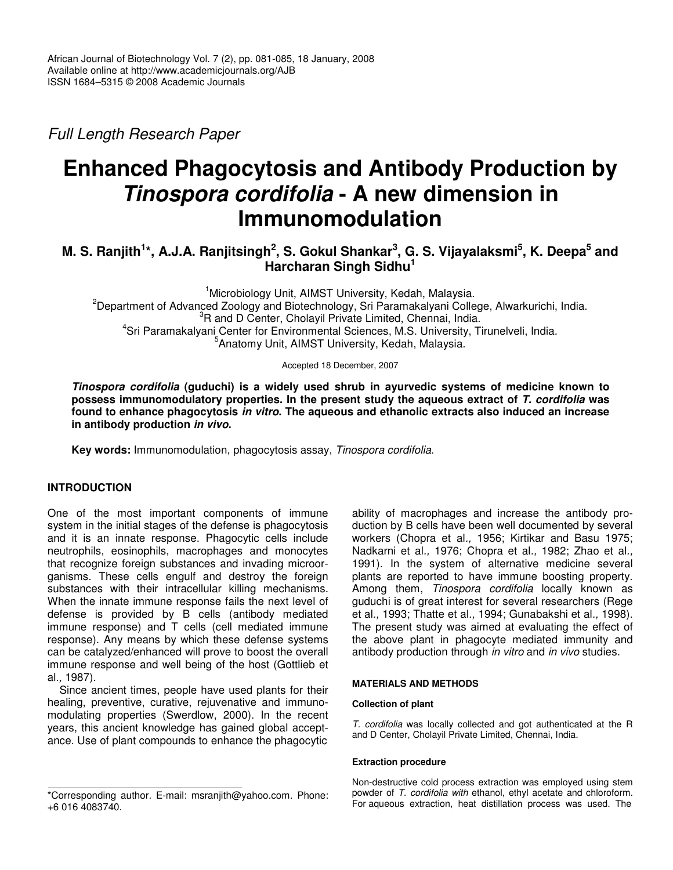*Full Length Research Paper*

# **Enhanced Phagocytosis and Antibody Production by** *Tinospora cordifolia* **- A new dimension in Immunomodulation**

# M. S. Ranjith<sup>1</sup>\*, A.J.A. Ranjitsingh<sup>2</sup>, S. Gokul Shankar<sup>3</sup>, G. S. Vijayalaksmi<sup>5</sup>, K. Deepa<sup>5</sup> and **Harcharan Singh Sidhu 1**

Microbiology Unit, AIMST University, Kedah, Malaysia. Department of Advanced Zoology and Biotechnology, Sri Paramakalyani College, Alwarkurichi, India. <sup>3</sup>R and D Center, Cholayil Private Limited, Chennai, India. Sri Paramakalyani Center for Environmental Sciences, M.S. University, Tirunelveli, India. Anatomy Unit, AIMST University, Kedah, Malaysia.

Accepted 18 December, 2007

*Tinospora cordifolia* **(guduchi) is a widely used shrub in ayurvedic systems of medicine known to possess immunomodulatory properties. In the present study the aqueous extract of** *T. cordifolia* **was found to enhance phagocytosis** *in vitro***. The aqueous and ethanolic extracts also induced an increase in antibody production** *in vivo***.**

**Key words:** Immunomodulation, phagocytosis assay, *Tinospora cordifolia*.

## **INTRODUCTION**

One of the most important components of immune system in the initial stages of the defense is phagocytosis and it is an innate response. Phagocytic cells include neutrophils, eosinophils, macrophages and monocytes that recognize foreign substances and invading microorganisms. These cells engulf and destroy the foreign substances with their intracellular killing mechanisms. When the innate immune response fails the next level of defense is provided by B cells (antibody mediated immune response) and T cells (cell mediated immune response). Any means by which these defense systems can be catalyzed/enhanced will prove to boost the overall immune response and well being of the host (Gottlieb et al*.,* 1987).

Since ancient times, people have used plants for their healing, preventive, curative, rejuvenative and immunomodulating properties (Swerdlow, 2000). In the recent years, this ancient knowledge has gained global acceptance. Use of plant compounds to enhance the phagocytic

ability of macrophages and increase the antibody production by B cells have been well documented by several workers (Chopra et al*.,* 1956; Kirtikar and Basu 1975; Nadkarni et al*.,* 1976; Chopra et al*.,* 1982; Zhao et al*.,* 1991). In the system of alternative medicine several plants are reported to have immune boosting property. Among them, *Tinospora cordifolia* locally known as guduchi is of great interest for several researchers (Rege et al*.,* 1993; Thatte et al*.,* 1994; Gunabakshi et al*.,* 1998). The present study was aimed at evaluating the effect of the above plant in phagocyte mediated immunity and antibody production through *in vitro* and *in vivo* studies.

#### **MATERIALS AND METHODS**

#### **Collection of plant**

*T. cordifolia* was locally collected and got authenticated at the R and D Center, Cholayil Private Limited, Chennai, India.

#### **Extraction procedure**

Non-destructive cold process extraction was employed using stem powder of *T. cordifolia with* ethanol, ethyl acetate and chloroform. For aqueous extraction, heat distillation process was used. The

<sup>\*</sup>Corresponding author. E-mail: msranjith@yahoo.com. Phone: +6 016 4083740.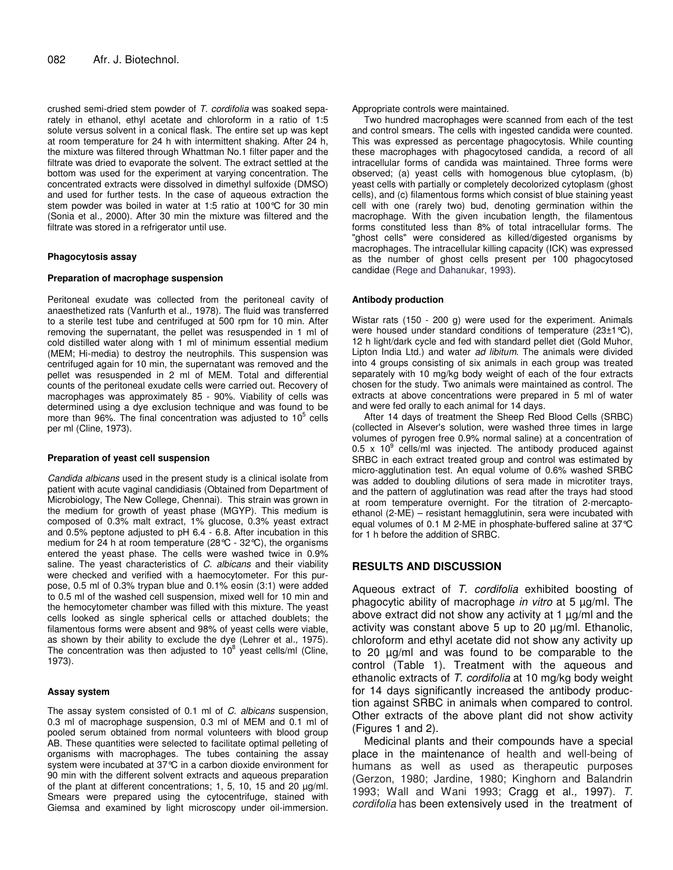crushed semi-dried stem powder of *T. cordifolia* was soaked separately in ethanol, ethyl acetate and chloroform in a ratio of 1:5 solute versus solvent in a conical flask. The entire set up was kept at room temperature for 24 h with intermittent shaking. After 24 h, the mixture was filtered through Whattman No.1 filter paper and the filtrate was dried to evaporate the solvent. The extract settled at the bottom was used for the experiment at varying concentration. The concentrated extracts were dissolved in dimethyl sulfoxide (DMSO) and used for further tests. In the case of aqueous extraction the stem powder was boiled in water at 1:5 ratio at 100°C for 30 min (Sonia et al*.,* 2000). After 30 min the mixture was filtered and the filtrate was stored in a refrigerator until use.

#### **Phagocytosis assay**

#### **Preparation of macrophage suspension**

Peritoneal exudate was collected from the peritoneal cavity of anaesthetized rats (Vanfurth et al*.,* 1978). The fluid was transferred to a sterile test tube and centrifuged at 500 rpm for 10 min. After removing the supernatant, the pellet was resuspended in 1 ml of cold distilled water along with 1 ml of minimum essential medium (MEM; Hi-media) to destroy the neutrophils. This suspension was centrifuged again for 10 min, the supernatant was removed and the pellet was resuspended in 2 ml of MEM. Total and differential counts of the peritoneal exudate cells were carried out. Recovery of macrophages was approximately 85 - 90%. Viability of cells was determined using a dye exclusion technique and was found to be more than 96%. The final concentration was adjusted to 10<sup>5</sup> cells per ml (Cline, 1973).

#### **Preparation of yeast cell suspension**

*Candida albicans* used in the present study is a clinical isolate from patient with acute vaginal candidiasis (Obtained from Department of Microbiology, The New College, Chennai). This strain was grown in the medium for growth of yeast phase (MGYP). This medium is composed of 0.3% malt extract, 1% glucose, 0.3% yeast extract and 0.5% peptone adjusted to pH 6.4 - 6.8. After incubation in this medium for 24 h at room temperature (28°C - 32°C), the organisms entered the yeast phase. The cells were washed twice in 0.9% saline. The yeast characteristics of *C. albicans* and their viability were checked and verified with a haemocytometer. For this purpose, 0.5 ml of 0.3% trypan blue and 0.1% eosin (3:1) were added to 0.5 ml of the washed cell suspension, mixed well for 10 min and the hemocytometer chamber was filled with this mixture. The yeast cells looked as single spherical cells or attached doublets; the filamentous forms were absent and 98% of yeast cells were viable, as shown by their ability to exclude the dye (Lehrer et al*.,* 1975). The concentration was then adjusted to  $10^8$  yeast cells/ml (Cline, 1973).

#### **Assay system**

The assay system consisted of 0.1 ml of *C. albicans* suspension, 0.3 ml of macrophage suspension, 0.3 ml of MEM and 0.1 ml of pooled serum obtained from normal volunteers with blood group AB. These quantities were selected to facilitate optimal pelleting of organisms with macrophages. The tubes containing the assay system were incubated at 37°C in a carbon dioxide environment for 90 min with the different solvent extracts and aqueous preparation of the plant at different concentrations; 1, 5, 10, 15 and 20 µg/ml. Smears were prepared using the cytocentrifuge, stained with Giemsa and examined by light microscopy under oil-immersion. Appropriate controls were maintained.

Two hundred macrophages were scanned from each of the test and control smears. The cells with ingested candida were counted. This was expressed as percentage phagocytosis. While counting these macrophages with phagocytosed candida, a record of all intracellular forms of candida was maintained. Three forms were observed; (a) yeast cells with homogenous blue cytoplasm, (b) yeast cells with partially or completely decolorized cytoplasm (ghost cells), and (c) filamentous forms which consist of blue staining yeast cell with one (rarely two) bud, denoting germination within the macrophage. With the given incubation length, the filamentous forms constituted less than 8% of total intracellular forms. The "ghost cells" were considered as killed/digested organisms by macrophages. The intracellular killing capacity (ICK) was expressed as the number of ghost cells present per 100 phagocytosed candidae (Rege and Dahanukar, 1993).

#### **Antibody production**

Wistar rats (150 - 200 g) were used for the experiment. Animals were housed under standard conditions of temperature (23±1°C), 12 h light/dark cycle and fed with standard pellet diet (Gold Muhor, Lipton India Ltd.) and water *ad libitum*. The animals were divided into 4 groups consisting of six animals in each group was treated separately with 10 mg/kg body weight of each of the four extracts chosen for the study. Two animals were maintained as control. The extracts at above concentrations were prepared in 5 ml of water and were fed orally to each animal for 14 days.

After 14 days of treatment the Sheep Red Blood Cells (SRBC) (collected in Alsever's solution, were washed three times in large volumes of pyrogen free 0.9% normal saline) at a concentration of 0.5 x 10 $^{9}$  cells/ml was injected. The antibody produced against SRBC in each extract treated group and control was estimated by micro-agglutination test. An equal volume of 0.6% washed SRBC was added to doubling dilutions of sera made in microtiter trays, and the pattern of agglutination was read after the trays had stood at room temperature overnight. For the titration of 2-mercaptoethanol (2-ME) – resistant hemagglutinin, sera were incubated with equal volumes of 0.1 M 2-ME in phosphate-buffered saline at 37°C for 1 h before the addition of SRBC.

## **RESULTS AND DISCUSSION**

Aqueous extract of *T. cordifolia* exhibited boosting of phagocytic ability of macrophage *in vitro* at 5 µg/ml. The above extract did not show any activity at 1 µg/ml and the activity was constant above 5 up to 20 µg/ml. Ethanolic, chloroform and ethyl acetate did not show any activity up to 20 µg/ml and was found to be comparable to the control (Table 1). Treatment with the aqueous and ethanolic extracts of *T. cordifolia* at 10 mg/kg body weight for 14 days significantly increased the antibody production against SRBC in animals when compared to control. Other extracts of the above plant did not show activity (Figures 1 and 2).

Medicinal plants and their compounds have a special place in the maintenance of health and well-being of humans as well as used as therapeutic purposes (Gerzon, 1980; Jardine, 1980; Kinghorn and Balandrin 1993; Wall and Wani 1993; Cragg et al*.,* 1997). *T. cordifolia* has been extensively used in the treatment of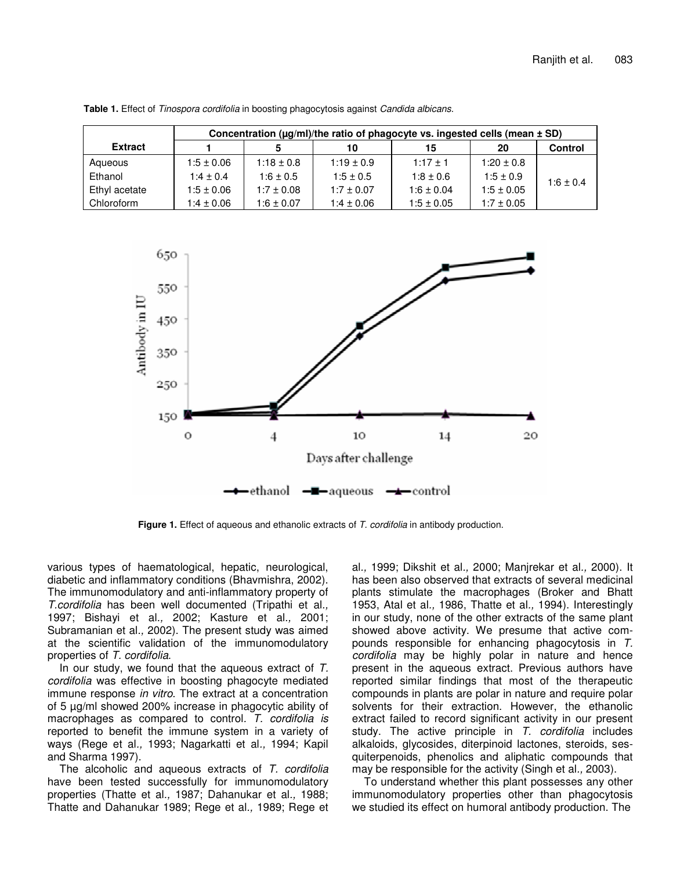|                | Concentration ( $\mu$ g/ml)/the ratio of phagocyte vs. ingested cells (mean $\pm$ SD) |                |                |                |                |                |
|----------------|---------------------------------------------------------------------------------------|----------------|----------------|----------------|----------------|----------------|
| <b>Extract</b> |                                                                                       | 5              | 10             | 15             | 20             | <b>Control</b> |
| Aqueous        | $1:5 \pm 0.06$                                                                        | $1:18 \pm 0.8$ | $1:19 \pm 0.9$ | $1:17+1$       | $1:20 \pm 0.8$ | $1:6 \pm 0.4$  |
| Ethanol        | $1:4 \pm 0.4$                                                                         | $1:6 \pm 0.5$  | $1:5 \pm 0.5$  | $1:8 \pm 0.6$  | $1:5 \pm 0.9$  |                |
| Ethyl acetate  | $1:5 \pm 0.06$                                                                        | $1:7 \pm 0.08$ | $1:7 \pm 0.07$ | $1:6 \pm 0.04$ | $1:5 \pm 0.05$ |                |
| Chloroform     | $1:4 \pm 0.06$                                                                        | $1:6 \pm 0.07$ | $1:4 \pm 0.06$ | $1:5 \pm 0.05$ | $1:7 \pm 0.05$ |                |

**Table 1.** Effect of *Tinospora cordifolia* in boosting phagocytosis against *Candida albicans.*



**Figure 1.** Effect of aqueous and ethanolic extracts of *T. cordifolia* in antibody production.

various types of haematological, hepatic, neurological, diabetic and inflammatory conditions (Bhavmishra, 2002). The immunomodulatory and anti-inflammatory property of *T.cordifolia* has been well documented (Tripathi et al*.,* 1997; Bishayi et al*.,* 2002; Kasture et al*.,* 2001; Subramanian et al*.,* 2002). The present study was aimed at the scientific validation of the immunomodulatory properties of *T. cordifolia*.

In our study, we found that the aqueous extract of *T. cordifolia* was effective in boosting phagocyte mediated immune response *in vitro*. The extract at a concentration of 5 µg/ml showed 200% increase in phagocytic ability of macrophages as compared to control*. T. cordifolia is* reported to benefit the immune system in a variety of ways (Rege et al*.,* 1993; Nagarkatti et al*.,* 1994; Kapil and Sharma 1997).

The alcoholic and aqueous extracts of *T. cordifolia* have been tested successfully for immunomodulatory properties (Thatte et al*.,* 1987; Dahanukar et al*.,* 1988; Thatte and Dahanukar 1989; Rege et al*.,* 1989; Rege et al*.,* 1999; Dikshit et al*.,* 2000; Manjrekar et al*.,* 2000). It has been also observed that extracts of several medicinal plants stimulate the macrophages (Broker and Bhatt 1953, Atal et al*.,* 1986, Thatte et al*.,* 1994). Interestingly in our study, none of the other extracts of the same plant showed above activity. We presume that active compounds responsible for enhancing phagocytosis in *T. cordifolia* may be highly polar in nature and hence present in the aqueous extract. Previous authors have reported similar findings that most of the therapeutic compounds in plants are polar in nature and require polar solvents for their extraction. However, the ethanolic extract failed to record significant activity in our present study. The active principle in *T. cordifolia* includes alkaloids, glycosides, diterpinoid lactones, steroids, sesquiterpenoids, phenolics and aliphatic compounds that may be responsible for the activity (Singh et al*.,* 2003).

To understand whether this plant possesses any other immunomodulatory properties other than phagocytosis we studied its effect on humoral antibody production. The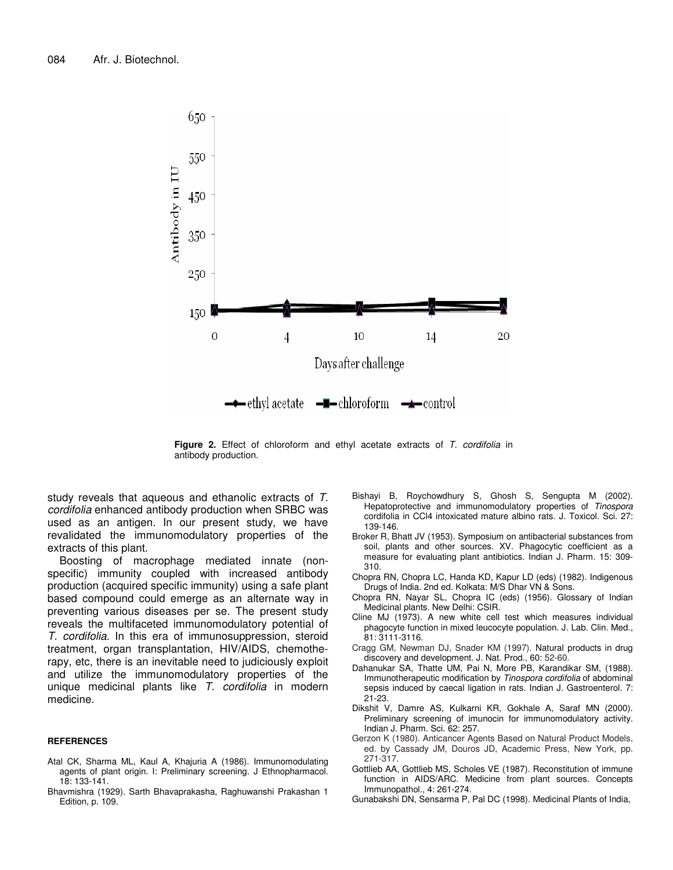

**Figure 2.** Effect of chloroform and ethyl acetate extracts of *T. cordifolia* in antibody production.

study reveals that aqueous and ethanolic extracts of *T. cordifolia* enhanced antibody production when SRBC was used as an antigen. In our present study, we have revalidated the immunomodulatory properties of the extracts of this plant.

Boosting of macrophage mediated innate (nonspecific) immunity coupled with increased antibody production (acquired specific immunity) using a safe plant based compound could emerge as an alternate way in preventing various diseases per se. The present study reveals the multifaceted immunomodulatory potential of *T. cordifolia.* In this era of immunosuppression, steroid treatment, organ transplantation, HIV/AIDS, chemotherapy, etc, there is an inevitable need to judiciously exploit and utilize the immunomodulatory properties of the unique medicinal plants like *T*. *cordifolia* in modern medicine.

#### **REFERENCES**

- Atal CK, Sharma ML, Kaul A, Khajuria A (1986). Immunomodulating agents of plant origin. I: Preliminary screening. J Ethnopharmacol. 18: 133-141.
- Bhavmishra (1929). Sarth Bhavaprakasha, Raghuwanshi Prakashan 1 Edition, p. 109.
- Bishayi B, Roychowdhury S, Ghosh S, Sengupta M (2002). Hepatoprotective and immunomodulatory properties of *Tinospora* cordifolia in CCl4 intoxicated mature albino rats. J. Toxicol. Sci. 27: 139-146.
- Broker R, Bhatt JV (1953). Symposium on antibacterial substances from soil, plants and other sources. XV. Phagocytic coefficient as a measure for evaluating plant antibiotics. Indian J. Pharm. 15: 309- 310.
- Chopra RN, Chopra LC, Handa KD, Kapur LD (eds) (1982). Indigenous Drugs of India. 2nd ed. Kolkata: M/S Dhar VN & Sons.
- Chopra RN, Nayar SL, Chopra IC (eds) (1956). Glossary of Indian Medicinal plants. New Delhi: CSIR.
- Cline MJ (1973). A new white cell test which measures individual phagocyte function in mixed leucocyte population. J. Lab. Clin. Med., 81: 3111-3116.
- Cragg GM, Newman DJ, Snader KM (1997). Natural products in drug discovery and development. J. Nat. Prod., 60: 52-60.
- Dahanukar SA, Thatte UM, Pai N, More PB, Karandikar SM, (1988). Immunotherapeutic modification by *Tinospora cordifolia* of abdominal sepsis induced by caecal ligation in rats. Indian J. Gastroenterol. 7: 21-23.
- Dikshit V, Damre AS, Kulkarni KR, Gokhale A, Saraf MN (2000). Preliminary screening of imunocin for immunomodulatory activity. Indian J. Pharm. Sci. 62: 257.
- Gerzon K (1980). Anticancer Agents Based on Natural Product Models, ed. by Cassady JM, Douros JD, Academic Press, New York, pp. 271-317.
- Gottlieb AA, Gottlieb MS, Scholes VE (1987). Reconstitution of immune function in AIDS/ARC. Medicine from plant sources. Concepts Immunopathol., 4: 261-274.
- Gunabakshi DN, Sensarma P, Pal DC (1998). Medicinal Plants of India,